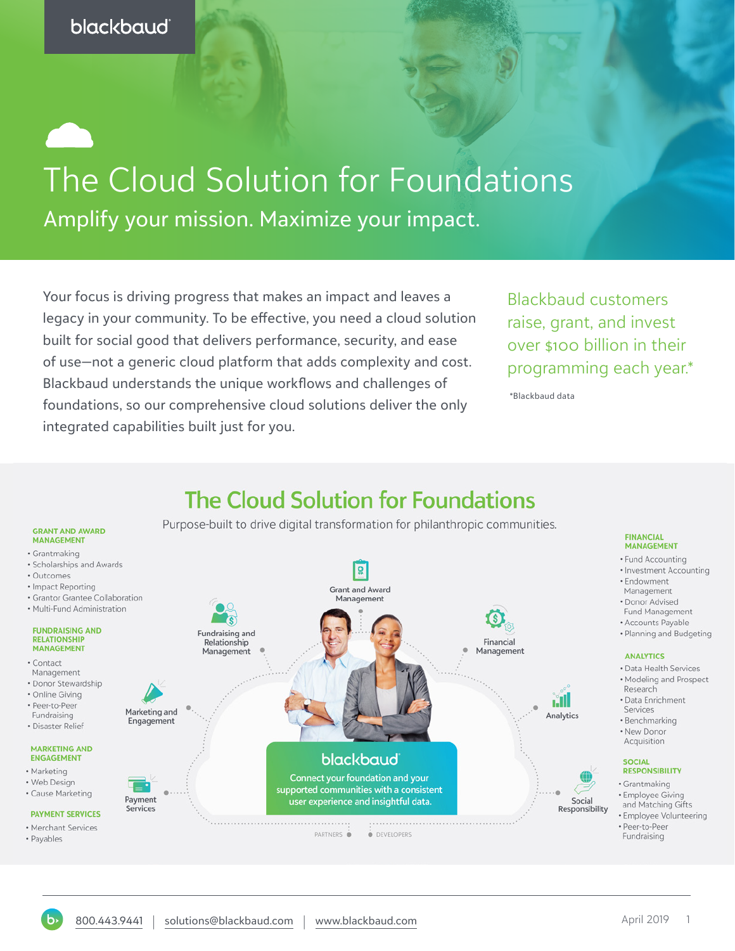# The Cloud Solution for Foundations Amplify your mission. Maximize your impact.

Your focus is driving progress that makes an impact and leaves a legacy in your community. To be effective, you need a cloud solution built for social good that delivers performance, security, and ease of use—not a generic cloud platform that adds complexity and cost. Blackbaud understands the unique workflows and challenges of foundations, so our comprehensive cloud solutions deliver the only integrated capabilities built just for you.

Blackbaud customers raise, grant, and invest over \$100 billion in their programming each year.\*

\*Blackbaud data



## **The Cloud Solution for Foundations**